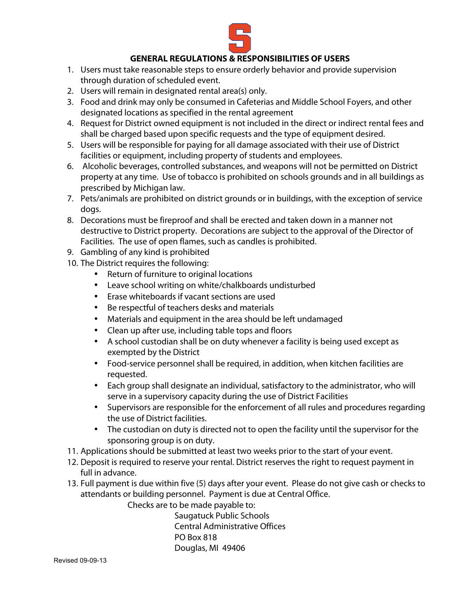

# **GENERAL REGULATIONS & RESPONSIBILITIES OF USERS**

- 1. Users must take reasonable steps to ensure orderly behavior and provide supervision through duration of scheduled event.
- 2. Users will remain in designated rental area(s) only.
- 3. Food and drink may only be consumed in Cafeterias and Middle School Foyers, and other designated locations as specified in the rental agreement
- 4. Request for District owned equipment is not included in the direct or indirect rental fees and shall be charged based upon specific requests and the type of equipment desired.
- 5. Users will be responsible for paying for all damage associated with their use of District facilities or equipment, including property of students and employees.
- 6. Alcoholic beverages, controlled substances, and weapons will not be permitted on District property at any time. Use of tobacco is prohibited on schools grounds and in all buildings as prescribed by Michigan law.
- 7. Pets/animals are prohibited on district grounds or in buildings, with the exception of service dogs.
- 8. Decorations must be fireproof and shall be erected and taken down in a manner not destructive to District property. Decorations are subject to the approval of the Director of Facilities. The use of open flames, such as candles is prohibited.
- 9. Gambling of any kind is prohibited
- 10. The District requires the following:
	- Return of furniture to original locations
	- Leave school writing on white/chalkboards undisturbed
	- Erase whiteboards if vacant sections are used
	- Be respectful of teachers desks and materials
	- Materials and equipment in the area should be left undamaged
	- Clean up after use, including table tops and floors
	- A school custodian shall be on duty whenever a facility is being used except as exempted by the District
	- Food-service personnel shall be required, in addition, when kitchen facilities are requested.
	- Each group shall designate an individual, satisfactory to the administrator, who will serve in a supervisory capacity during the use of District Facilities
	- Supervisors are responsible for the enforcement of all rules and procedures regarding the use of District facilities.
	- The custodian on duty is directed not to open the facility until the supervisor for the sponsoring group is on duty.
- 11. Applications should be submitted at least two weeks prior to the start of your event.
- 12. Deposit is required to reserve your rental. District reserves the right to request payment in full in advance.
- 13. Full payment is due within five (5) days after your event. Please do not give cash or checks to attendants or building personnel. Payment is due at Central Office.

Checks are to be made payable to:

Saugatuck Public Schools Central Administrative Offices PO Box 818 Douglas, MI 49406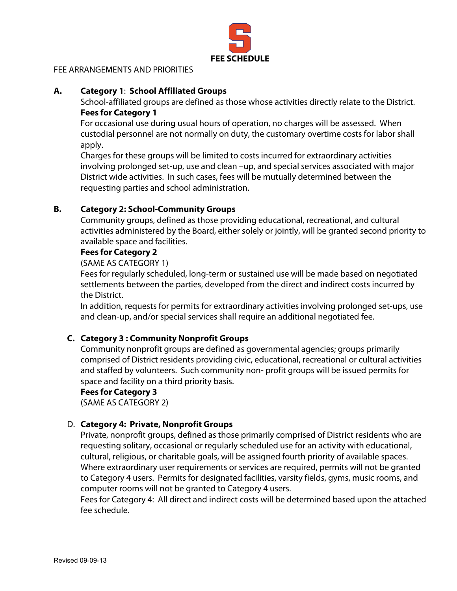

## FEE ARRANGEMENTS AND PRIORITIES

### **A. Category 1**: **School Affiliated Groups**

School-affiliated groups are defined as those whose activities directly relate to the District. **Fees for Category 1**

For occasional use during usual hours of operation, no charges will be assessed. When custodial personnel are not normally on duty, the customary overtime costs for labor shall apply.

Charges for these groups will be limited to costs incurred for extraordinary activities involving prolonged set-up, use and clean –up, and special services associated with major District wide activities. In such cases, fees will be mutually determined between the requesting parties and school administration.

## **B. Category 2: School-Community Groups**

Community groups, defined as those providing educational, recreational, and cultural activities administered by the Board, either solely or jointly, will be granted second priority to available space and facilities.

#### **Fees for Category 2**

(SAME AS CATEGORY 1)

Fees for regularly scheduled, long-term or sustained use will be made based on negotiated settlements between the parties, developed from the direct and indirect costs incurred by the District.

In addition, requests for permits for extraordinary activities involving prolonged set-ups, use and clean-up, and/or special services shall require an additional negotiated fee.

# **C. Category 3 : Community Nonprofit Groups**

Community nonprofit groups are defined as governmental agencies; groups primarily comprised of District residents providing civic, educational, recreational or cultural activities and staffed by volunteers. Such community non- profit groups will be issued permits for space and facility on a third priority basis.

#### **Fees for Category 3**

(SAME AS CATEGORY 2)

# D. **Category 4: Private, Nonprofit Groups**

Private, nonprofit groups, defined as those primarily comprised of District residents who are requesting solitary, occasional or regularly scheduled use for an activity with educational, cultural, religious, or charitable goals, will be assigned fourth priority of available spaces. Where extraordinary user requirements or services are required, permits will not be granted to Category 4 users. Permits for designated facilities, varsity fields, gyms, music rooms, and computer rooms will not be granted to Category 4 users.

Fees for Category 4: All direct and indirect costs will be determined based upon the attached fee schedule.